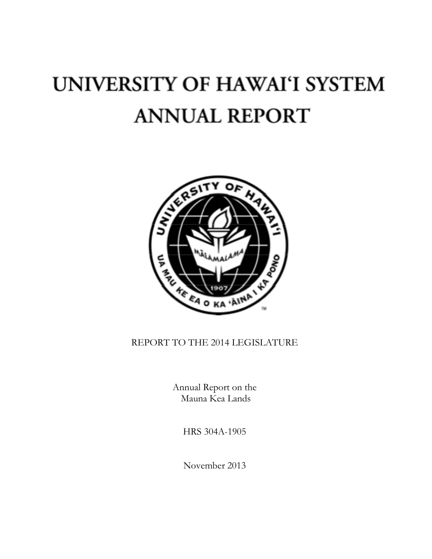# UNIVERSITY OF HAWAI'I SYSTEM **ANNUAL REPORT**



# REPORT TO THE 2014 LEGISLATURE

Annual Report on the Mauna Kea Lands

HRS 304A-1905

November 2013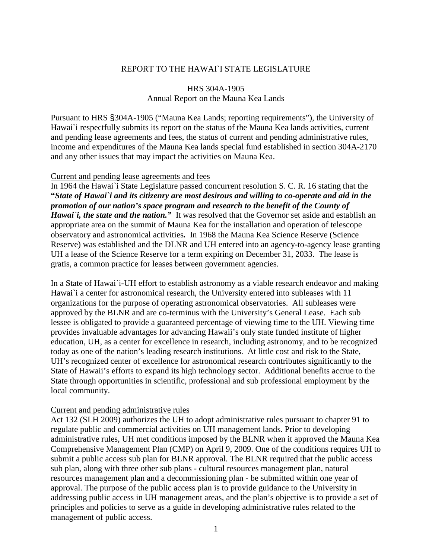## REPORT TO THE HAWAIN STATE LEGISLATURE

# HRS 304A-1905 Annual Report on the Mauna Kea Lands

Pursuant to HRS §304A-1905 ("Mauna Kea Lands; reporting requirements"), the University of Hawai`i respectfully submits its report on the status of the Mauna Kea lands activities, current and pending lease agreements and fees, the status of current and pending administrative rules, income and expenditures of the Mauna Kea lands special fund established in section 304A-2170 and any other issues that may impact the activities on Mauna Kea.

#### Current and pending lease agreements and fees

In 1964 the Hawai`i State Legislature passed concurrent resolution S. C. R. 16 stating that the **"***State of Hawai`i and its citizenry are most desirous and willing to co-operate and aid in the promotion of our nation's space program and research to the benefit of the County of Hawai*'*i*, *the state and the nation.*" It was resolved that the Governor set aside and establish an appropriate area on the summit of Mauna Kea for the installation and operation of telescope observatory and astronomical activities*.* In 1968 the Mauna Kea Science Reserve (Science Reserve) was established and the DLNR and UH entered into an agency-to-agency lease granting UH a lease of the Science Reserve for a term expiring on December 31, 2033. The lease is gratis, a common practice for leases between government agencies.

In a State of Hawai`i-UH effort to establish astronomy as a viable research endeavor and making Hawai'i a center for astronomical research, the University entered into subleases with 11 organizations for the purpose of operating astronomical observatories. All subleases were approved by the BLNR and are co-terminus with the University's General Lease. Each sub lessee is obligated to provide a guaranteed percentage of viewing time to the UH. Viewing time provides invaluable advantages for advancing Hawaii's only state funded institute of higher education, UH, as a center for excellence in research, including astronomy, and to be recognized today as one of the nation's leading research institutions. At little cost and risk to the State, UH's recognized center of excellence for astronomical research contributes significantly to the State of Hawaii's efforts to expand its high technology sector. Additional benefits accrue to the State through opportunities in scientific, professional and sub professional employment by the local community.

#### Current and pending administrative rules

Act 132 (SLH 2009) authorizes the UH to adopt administrative rules pursuant to chapter 91 to regulate public and commercial activities on UH management lands. Prior to developing administrative rules, UH met conditions imposed by the BLNR when it approved the Mauna Kea Comprehensive Management Plan (CMP) on April 9, 2009. One of the conditions requires UH to submit a public access sub plan for BLNR approval. The BLNR required that the public access sub plan, along with three other sub plans - cultural resources management plan, natural resources management plan and a decommissioning plan - be submitted within one year of approval. The purpose of the public access plan is to provide guidance to the University in addressing public access in UH management areas, and the plan's objective is to provide a set of principles and policies to serve as a guide in developing administrative rules related to the management of public access.